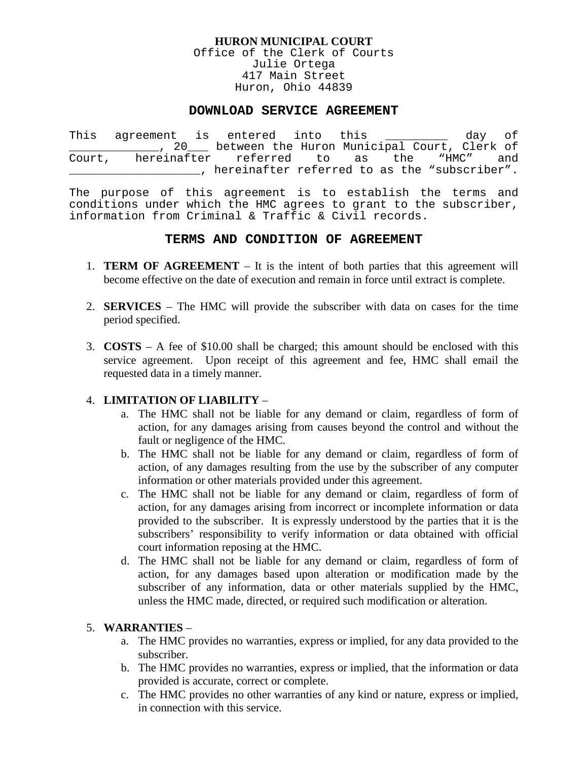#### **HURON MUNICIPAL COURT**

Office of the Clerk of Courts Julie Ortega 417 Main Street Huron, Ohio 44839

### **DOWNLOAD SERVICE AGREEMENT**

This agreement is entered into this \_\_\_\_\_\_\_\_\_ day of \_\_\_\_\_\_\_\_\_\_\_\_\_, 20\_\_\_ between the Huron Municipal Court, Clerk of Court, hereinafter referred to as the "HMC" and \_\_\_\_\_\_\_\_\_\_\_\_\_\_\_\_\_\_\_, hereinafter referred to as the "subscriber".

The purpose of this agreement is to establish the terms and conditions under which the HMC agrees to grant to the subscriber, information from Criminal & Traffic & Civil records.

### **TERMS AND CONDITION OF AGREEMENT**

- 1. **TERM OF AGREEMENT** It is the intent of both parties that this agreement will become effective on the date of execution and remain in force until extract is complete.
- 2. **SERVICES** The HMC will provide the subscriber with data on cases for the time period specified.
- 3. **COSTS**  A fee of \$10.00 shall be charged; this amount should be enclosed with this service agreement. Upon receipt of this agreement and fee, HMC shall email the requested data in a timely manner.

# 4. **LIMITATION OF LIABILITY** –

- a. The HMC shall not be liable for any demand or claim, regardless of form of action, for any damages arising from causes beyond the control and without the fault or negligence of the HMC.
- b. The HMC shall not be liable for any demand or claim, regardless of form of action, of any damages resulting from the use by the subscriber of any computer information or other materials provided under this agreement.
- c. The HMC shall not be liable for any demand or claim, regardless of form of action, for any damages arising from incorrect or incomplete information or data provided to the subscriber. It is expressly understood by the parties that it is the subscribers' responsibility to verify information or data obtained with official court information reposing at the HMC.
- d. The HMC shall not be liable for any demand or claim, regardless of form of action, for any damages based upon alteration or modification made by the subscriber of any information, data or other materials supplied by the HMC, unless the HMC made, directed, or required such modification or alteration.

# 5. **WARRANTIES** –

- a. The HMC provides no warranties, express or implied, for any data provided to the subscriber.
- b. The HMC provides no warranties, express or implied, that the information or data provided is accurate, correct or complete.
- c. The HMC provides no other warranties of any kind or nature, express or implied, in connection with this service.